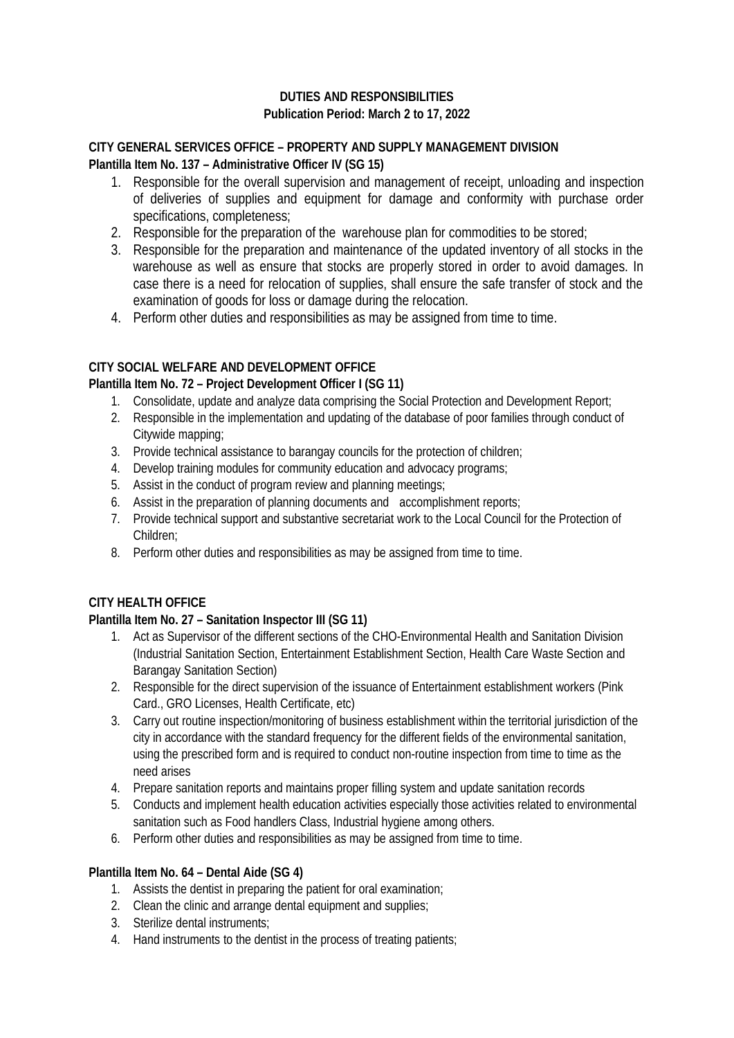# **DUTIES AND RESPONSIBILITIES Publication Period: March 2 to 17, 2022**

### **CITY GENERAL SERVICES OFFICE – PROPERTY AND SUPPLY MANAGEMENT DIVISION Plantilla Item No. 137 – Administrative Officer IV (SG 15)**

- 1. Responsible for the overall supervision and management of receipt, unloading and inspection of deliveries of supplies and equipment for damage and conformity with purchase order specifications, completeness;
- 2. Responsible for the preparation of the warehouse plan for commodities to be stored;
- 3. Responsible for the preparation and maintenance of the updated inventory of all stocks in the warehouse as well as ensure that stocks are properly stored in order to avoid damages. In case there is a need for relocation of supplies, shall ensure the safe transfer of stock and the examination of goods for loss or damage during the relocation.
- 4. Perform other duties and responsibilities as may be assigned from time to time.

# **CITY SOCIAL WELFARE AND DEVELOPMENT OFFICE**

## **Plantilla Item No. 72 – Project Development Officer I (SG 11)**

- 1. Consolidate, update and analyze data comprising the Social Protection and Development Report;
- 2. Responsible in the implementation and updating of the database of poor families through conduct of Citywide mapping;
- 3. Provide technical assistance to barangay councils for the protection of children;
- 4. Develop training modules for community education and advocacy programs;
- 5. Assist in the conduct of program review and planning meetings;
- 6. Assist in the preparation of planning documents and accomplishment reports;
- 7. Provide technical support and substantive secretariat work to the Local Council for the Protection of Children;
- 8. Perform other duties and responsibilities as may be assigned from time to time.

# **CITY HEALTH OFFICE**

### **Plantilla Item No. 27 – Sanitation Inspector III (SG 11)**

- 1. Act as Supervisor of the different sections of the CHO-Environmental Health and Sanitation Division (Industrial Sanitation Section, Entertainment Establishment Section, Health Care Waste Section and Barangay Sanitation Section)
- 2. Responsible for the direct supervision of the issuance of Entertainment establishment workers (Pink Card., GRO Licenses, Health Certificate, etc)
- 3. Carry out routine inspection/monitoring of business establishment within the territorial jurisdiction of the city in accordance with the standard frequency for the different fields of the environmental sanitation, using the prescribed form and is required to conduct non-routine inspection from time to time as the need arises
- 4. Prepare sanitation reports and maintains proper filling system and update sanitation records
- 5. Conducts and implement health education activities especially those activities related to environmental sanitation such as Food handlers Class, Industrial hygiene among others.
- 6. Perform other duties and responsibilities as may be assigned from time to time.

### **Plantilla Item No. 64 – Dental Aide (SG 4)**

- 1. Assists the dentist in preparing the patient for oral examination;
- 2. Clean the clinic and arrange dental equipment and supplies;
- 3. Sterilize dental instruments;
- 4. Hand instruments to the dentist in the process of treating patients;